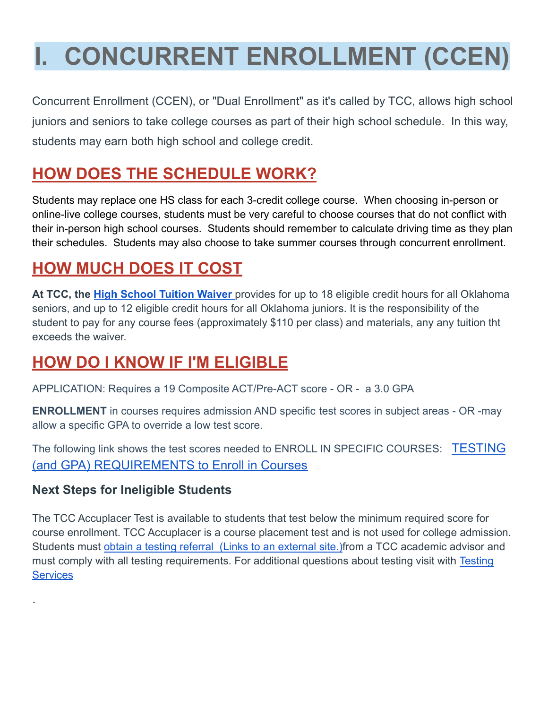## **I. CONCURRENT ENROLLMENT (CCEN)**

Concurrent Enrollment (CCEN), or "Dual Enrollment" as it's called by TCC, allows high school juniors and seniors to take college courses as part of their high school schedule. In this way, students may earn both high school and college credit.

## **HOW DOES THE SCHEDULE WORK?**

Students may replace one HS class for each 3-credit college course. When choosing in-person or online-live college courses, students must be very careful to choose courses that do not conflict with their in-person high school courses. Students should remember to calculate driving time as they plan their schedules. Students may also choose to take summer courses through concurrent enrollment.

## **HOW MUCH DOES IT COST**

**At TCC, the [High School Tuition Waiver](https://www.tulsacc.edu/programs-courses/dual-credit-programs/enrollment-information#waiver)** provides for up to 18 eligible credit hours for all Oklahoma seniors, and up to 12 eligible credit hours for all Oklahoma juniors. It is the responsibility of the student to pay for any course fees (approximately \$110 per class) and materials, any any tuition tht exceeds the waiver.

## **HOW DO I KNOW IF I'M ELIGIBLE**

APPLICATION: Requires a 19 Composite ACT/Pre-ACT score - OR - a 3.0 GPA

**ENROLLMENT** in courses requires admission AND specific test scores in subject areas - OR -may allow a specific GPA to override a low test score.

The following link shows the test scores needed to ENROLL IN SPECIFIC COURSES: [TESTING](https://jenks.instructure.com/courses/53841/pages/tcc-testing-requirements) (and GPA) [REQUIREMENTS](https://jenks.instructure.com/courses/53841/pages/tcc-testing-requirements) to Enroll in Courses

#### **Next Steps for Ineligible Students**

.

The TCC Accuplacer Test is available to students that test below the minimum required score for course enrollment. TCC Accuplacer is a course placement test and is not used for college admission. Students must [obtain a testing referral \(Links to](https://www.tulsacc.edu/sites/default/files/u15766/dual_credit_student_steps_to_making_advising_and_testing_appointments.pdf) an external site.) from a TCC academic advisor and must comply with all testing requirements. For additional questions about testing visit with [Testing](https://www.tulsacc.edu/student-resources/testing-services) **[Services](https://www.tulsacc.edu/student-resources/testing-services)**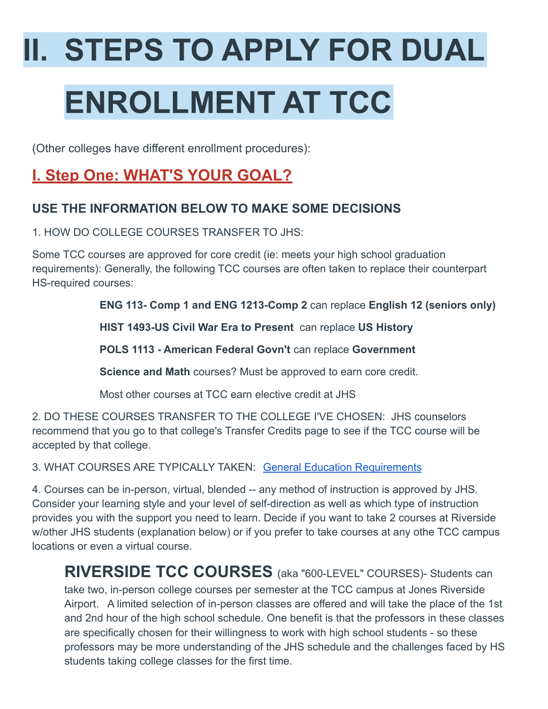# **II. STEPS TO APPLY FOR DUAL ENROLLMENT AT TCC**

(Other colleges have different enrollment procedures):

## **I. Step One: WHAT'S YOUR GOAL?**

#### **USE THE INFORMATION BELOW TO MAKE SOME DECISIONS**

1. HOW DO COLLEGE COURSES TRANSFER TO JHS:

Some TCC courses are approved for core credit (ie: meets your high school graduation requirements): Generally, the following TCC courses are often taken to replace their counterpart HS-required courses:

**ENG 113- Comp 1 and ENG 1213-Comp 2** can replace **English 12 (seniors only)**

**HIST 1493-US Civil War Era to Present** can replace **US History**

**POLS 1113 - American Federal Govn't** can replace **Government**

**Science and Math** courses? Must be approved to earn core credit.

Most other courses at TCC earn elective credit at JHS

2. DO THESE COURSES TRANSFER TO THE COLLEGE I'VE CHOSEN: JHS counselors recommend that you go to that college's Transfer Credits page to see if the TCC course will be accepted by that college.

3. WHAT COURSES ARE TYPICALLY TAKEN: [General Education](https://catalog.tulsacc.edu/preview_program.php?catoid=16&poid=3379) Requirements

4. Courses can be in-person, virtual, blended -- any method of instruction is approved by JHS. Consider your learning style and your level of self-direction as well as which type of instruction provides you with the support you need to learn. Decide if you want to take 2 courses at Riverside w/other JHS students (explanation below) or if you prefer to take courses at any othe TCC campus locations or even a virtual course.

**RIVERSIDE TCC COURSES** (aka "600-LEVEL" COURSES)- Students can take two, in-person college courses per semester at the TCC campus at Jones Riverside Airport. A limited selection of in-person classes are offered and will take the place of the 1st and 2nd hour of the high school schedule. One benefit is that the professors in these classes are specifically chosen for their willingness to work with high school students - so these professors may be more understanding of the JHS schedule and the challenges faced by HS students taking college classes for the first time.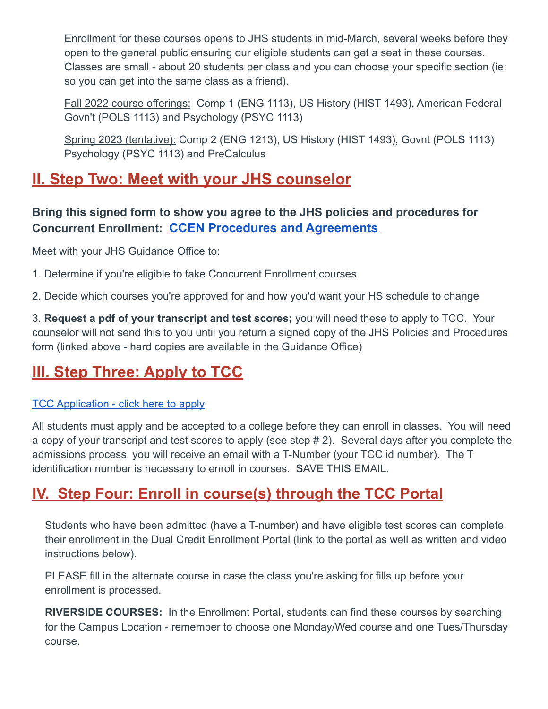Enrollment for these courses opens to JHS students in mid-March, several weeks before they open to the general public ensuring our eligible students can get a seat in these courses. Classes are small - about 20 students per class and you can choose your specific section (ie: so you can get into the same class as a friend).

Fall 2022 course offerings: Comp 1 (ENG 1113), US History (HIST 1493), American Federal Govn't (POLS 1113) and Psychology (PSYC 1113)

Spring 2023 (tentative): Comp 2 (ENG 1213), US History (HIST 1493), Govnt (POLS 1113) Psychology (PSYC 1113) and PreCalculus

## **II. Step Two: Meet with your JHS counselor**

#### **Bring this signed form to show you agree to the JHS policies and procedures for Concurrent Enrollment: CCEN Procedures and [Agreements](https://docs.google.com/document/d/1AGXhqyMFDPr4aEQDCSUzAd6nikpHQV3ZCyQrvFcQdA4/edit)**

Meet with your JHS Guidance Office to:

1. Determine if you're eligible to take Concurrent Enrollment courses

2. Decide which courses you're approved for and how you'd want your HS schedule to change

3. **Request a pdf of your transcript and test scores;** you will need these to apply to TCC. Your counselor will not send this to you until you return a signed copy of the JHS Policies and Procedures form (linked above - hard copies are available in the Guidance Office)

## **III. Step Three: Apply to TCC**

#### [TCC Application - click here to apply](https://www.tulsacc.edu/admissions-aid/admissions/apply-admission)

All students must apply and be accepted to a college before they can enroll in classes. You will need a copy of your transcript and test scores to apply (see step # 2). Several days after you complete the admissions process, you will receive an email with a T-Number (your TCC id number). The T identification number is necessary to enroll in courses. SAVE THIS EMAIL.

## **IV. Step Four: Enroll in course(s) through the TCC Portal**

Students who have been admitted (have a T-number) and have eligible test scores can complete their enrollment in the Dual Credit Enrollment Portal (link to the portal as well as written and video instructions below).

PLEASE fill in the alternate course in case the class you're asking for fills up before your enrollment is processed.

**RIVERSIDE COURSES:** In the Enrollment Portal, students can find these courses by searching for the Campus Location - remember to choose one Monday/Wed course and one Tues/Thursday course.